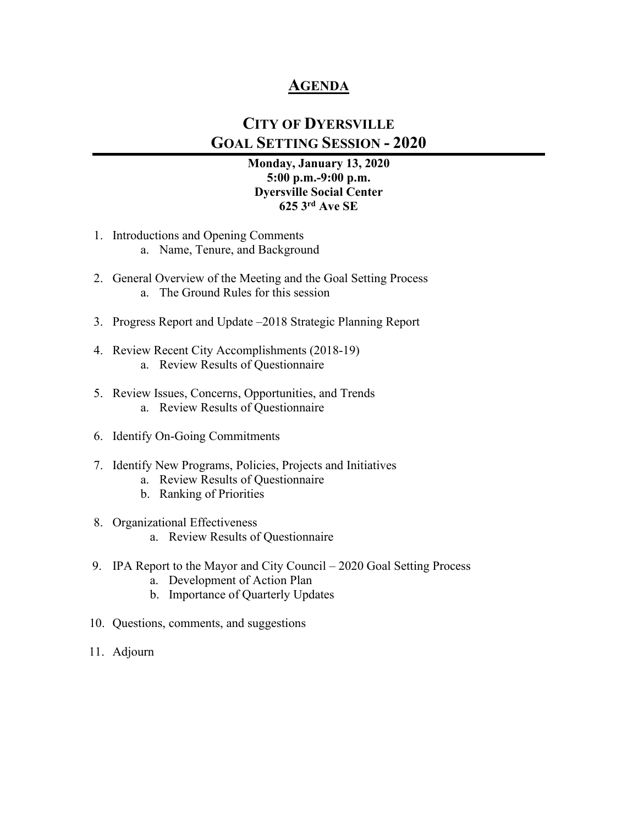### **AGENDA**

### **CITY OF DYERSVILLE GOAL SETTING SESSION - 2020**

#### **Monday, January 13, 2020 5:00 p.m.-9:00 p.m. Dyersville Social Center 625 3rd Ave SE**

- 1. Introductions and Opening Comments
	- a. Name, Tenure, and Background
- 2. General Overview of the Meeting and the Goal Setting Process a. The Ground Rules for this session
- 3. Progress Report and Update –2018 Strategic Planning Report
- 4. Review Recent City Accomplishments (2018-19) a. Review Results of Questionnaire
- 5. Review Issues, Concerns, Opportunities, and Trends a. Review Results of Questionnaire
- 6. Identify On-Going Commitments
- 7. Identify New Programs, Policies, Projects and Initiatives
	- a. Review Results of Questionnaire
	- b. Ranking of Priorities
- 8. Organizational Effectiveness a. Review Results of Questionnaire
- 
- 9. IPA Report to the Mayor and City Council 2020 Goal Setting Process
	- a. Development of Action Plan
	- b. Importance of Quarterly Updates
- 10. Questions, comments, and suggestions
- 11. Adjourn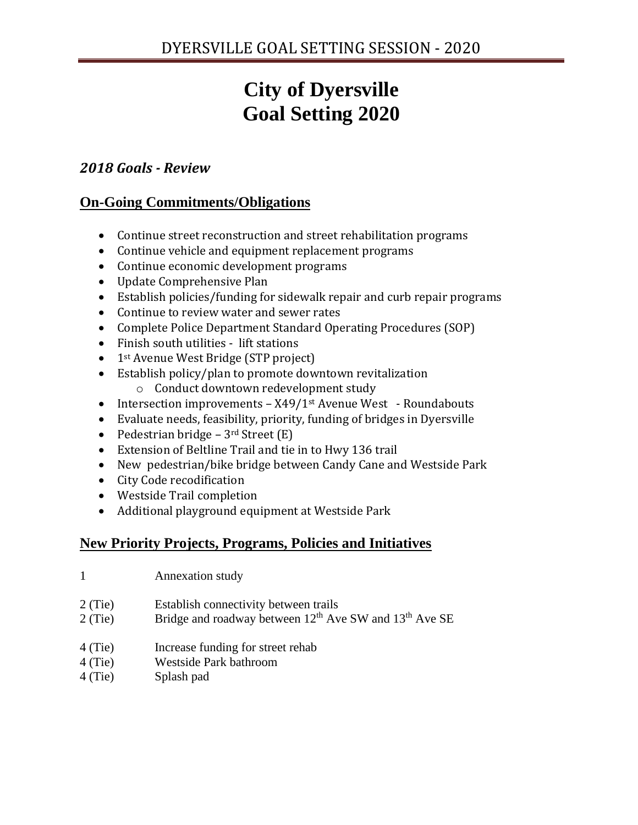# **City of Dyersville Goal Setting 2020**

### *2018 Goals - Review*

### **On-Going Commitments/Obligations**

- Continue street reconstruction and street rehabilitation programs
- Continue vehicle and equipment replacement programs
- Continue economic development programs
- Update Comprehensive Plan
- Establish policies/funding for sidewalk repair and curb repair programs
- Continue to review water and sewer rates
- Complete Police Department Standard Operating Procedures (SOP)
- Finish south utilities lift stations
- 1<sup>st</sup> Avenue West Bridge (STP project)
- Establish policy/plan to promote downtown revitalization o Conduct downtown redevelopment study
- Intersection improvements X49/1<sup>st</sup> Avenue West Roundabouts
- Evaluate needs, feasibility, priority, funding of bridges in Dyersville
- Pedestrian bridge  $3<sup>rd</sup>$  Street (E)
- Extension of Beltline Trail and tie in to Hwy 136 trail
- New pedestrian/bike bridge between Candy Cane and Westside Park
- City Code recodification
- Westside Trail completion
- Additional playground equipment at Westside Park

### **New Priority Projects, Programs, Policies and Initiatives**

- 1 Annexation study
- 2 (Tie) Establish connectivity between trails
- 2 (Tie) Bridge and roadway between  $12<sup>th</sup>$  Ave SW and  $13<sup>th</sup>$  Ave SE
- 4 (Tie) Increase funding for street rehab
- 4 (Tie) Westside Park bathroom
- 4 (Tie) Splash pad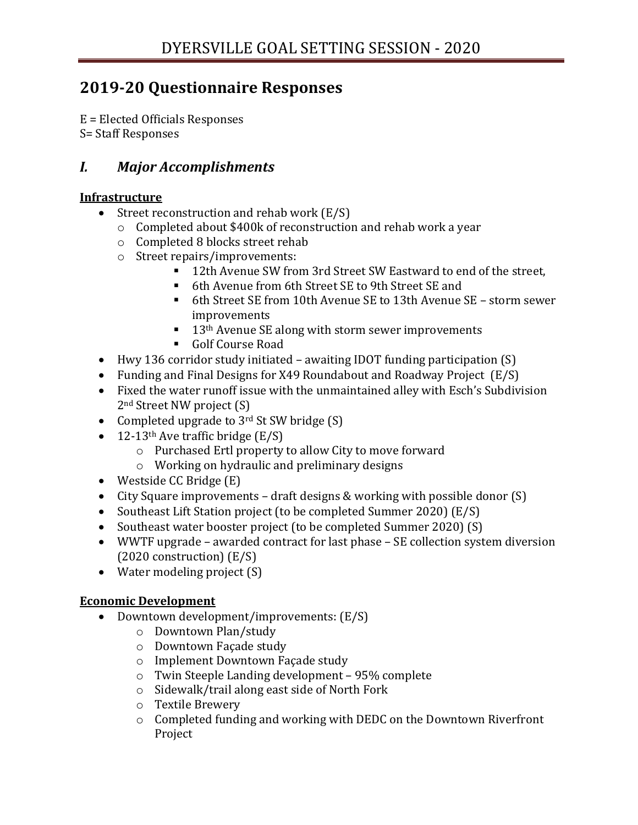## **2019-20 Questionnaire Responses**

E = Elected Officials Responses S= Staff Responses

### *I. Major Accomplishments*

#### **Infrastructure**

- Street reconstruction and rehab work (E/S)
	- o Completed about \$400k of reconstruction and rehab work a year
	- o Completed 8 blocks street rehab
	- o Street repairs/improvements:
		- 12th Avenue SW from 3rd Street SW Eastward to end of the street,
		- 6th Avenue from 6th Street SE to 9th Street SE and
		- 6th Street SE from 10th Avenue SE to 13th Avenue SE storm sewer improvements
		- $\blacksquare$  13<sup>th</sup> Avenue SE along with storm sewer improvements
		- Golf Course Road
- Hwy 136 corridor study initiated awaiting IDOT funding participation (S)
- Funding and Final Designs for X49 Roundabout and Roadway Project (E/S)
- Fixed the water runoff issue with the unmaintained alley with Esch's Subdivision 2nd Street NW project (S)
- Completed upgrade to  $3<sup>rd</sup>$  St SW bridge (S)
- 12-13<sup>th</sup> Ave traffic bridge  $(E/S)$ 
	- o Purchased Ertl property to allow City to move forward
	- o Working on hydraulic and preliminary designs
- Westside CC Bridge (E)
- City Square improvements draft designs & working with possible donor (S)
- Southeast Lift Station project (to be completed Summer 2020) (E/S)
- Southeast water booster project (to be completed Summer 2020) (S)
- WWTF upgrade awarded contract for last phase SE collection system diversion (2020 construction) (E/S)
- Water modeling project (S)

### **Economic Development**

- Downtown development/improvements:  $(E/S)$ 
	- o Downtown Plan/study
	- o Downtown Façade study
	- o Implement Downtown Façade study
	- o Twin Steeple Landing development 95% complete
	- o Sidewalk/trail along east side of North Fork
	- o Textile Brewery
	- o Completed funding and working with DEDC on the Downtown Riverfront Project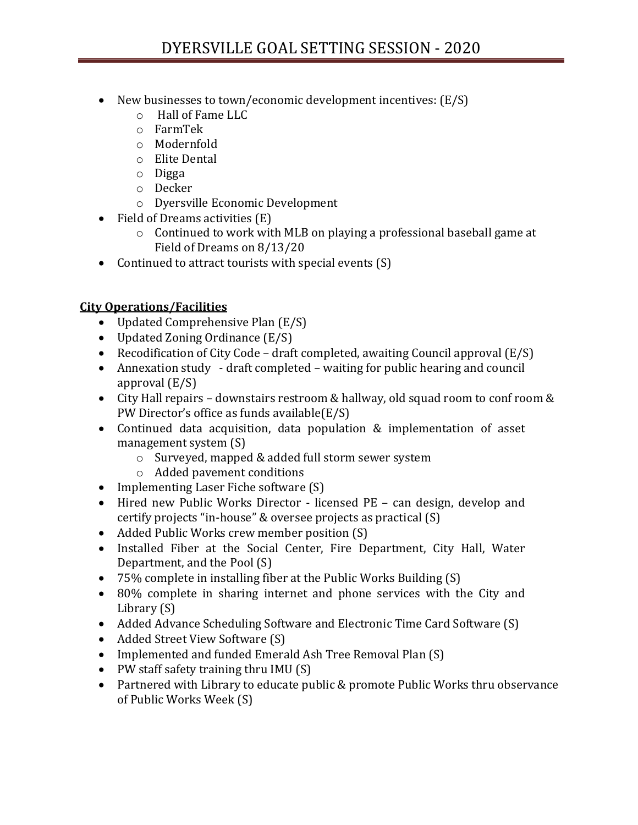- New businesses to town/economic development incentives:  $(E/S)$ 
	- o Hall of Fame LLC
	- o FarmTek
	- o Modernfold
	- o Elite Dental
	- o Digga
	- o Decker
	- o Dyersville Economic Development
- Field of Dreams activities (E)
	- o Continued to work with MLB on playing a professional baseball game at Field of Dreams on 8/13/20
- Continued to attract tourists with special events (S)

### **City Operations/Facilities**

- Updated Comprehensive Plan (E/S)
- Updated Zoning Ordinance (E/S)
- Recodification of City Code draft completed, awaiting Council approval  $(E/S)$
- Annexation study draft completed waiting for public hearing and council approval (E/S)
- City Hall repairs downstairs restroom & hallway, old squad room to conf room & PW Director's office as funds available(E/S)
- Continued data acquisition, data population & implementation of asset management system (S)
	- o Surveyed, mapped & added full storm sewer system
	- o Added pavement conditions
- Implementing Laser Fiche software (S)
- Hired new Public Works Director licensed PE can design, develop and certify projects "in-house" & oversee projects as practical (S)
- Added Public Works crew member position (S)
- Installed Fiber at the Social Center, Fire Department, City Hall, Water Department, and the Pool (S)
- 75% complete in installing fiber at the Public Works Building (S)
- 80% complete in sharing internet and phone services with the City and Library (S)
- Added Advance Scheduling Software and Electronic Time Card Software (S)
- Added Street View Software (S)
- Implemented and funded Emerald Ash Tree Removal Plan (S)
- PW staff safety training thru IMU (S)
- Partnered with Library to educate public & promote Public Works thru observance of Public Works Week (S)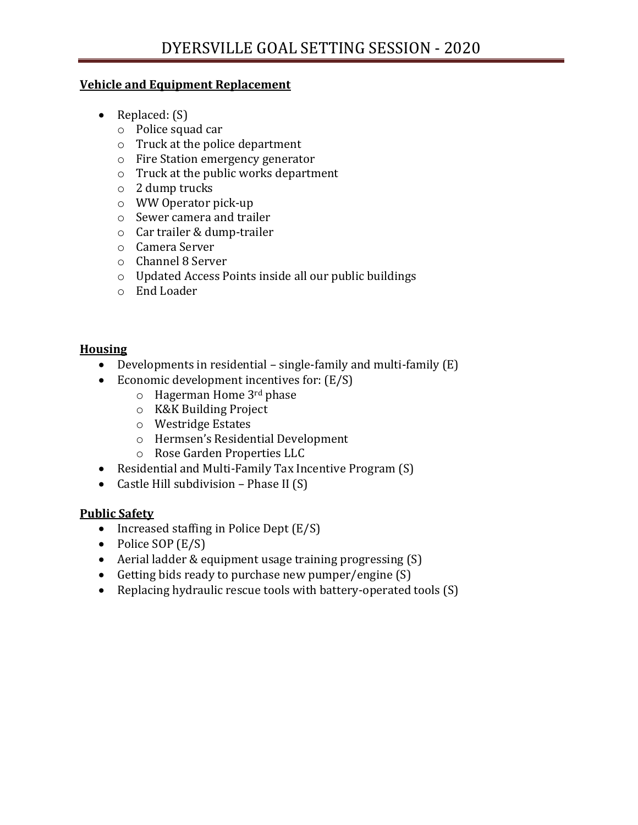#### **Vehicle and Equipment Replacement**

- Replaced: (S)
	- o Police squad car
	- o Truck at the police department
	- o Fire Station emergency generator
	- o Truck at the public works department
	- o 2 dump trucks
	- o WW Operator pick-up
	- o Sewer camera and trailer
	- o Car trailer & dump-trailer
	- o Camera Server
	- o Channel 8 Server
	- o Updated Access Points inside all our public buildings
	- o End Loader

#### **Housing**

- Developments in residential single-family and multi-family (E)
- Economic development incentives for: (E/S)
	- $\circ$  Hagerman Home 3<sup>rd</sup> phase
	- o K&K Building Project
	- o Westridge Estates
	- o Hermsen's Residential Development
	- o Rose Garden Properties LLC
- Residential and Multi-Family Tax Incentive Program (S)
- Castle Hill subdivision Phase II (S)

### **Public Safety**

- Increased staffing in Police Dept (E/S)
- Police SOP (E/S)
- Aerial ladder & equipment usage training progressing (S)
- Getting bids ready to purchase new pumper/engine (S)
- Replacing hydraulic rescue tools with battery-operated tools (S)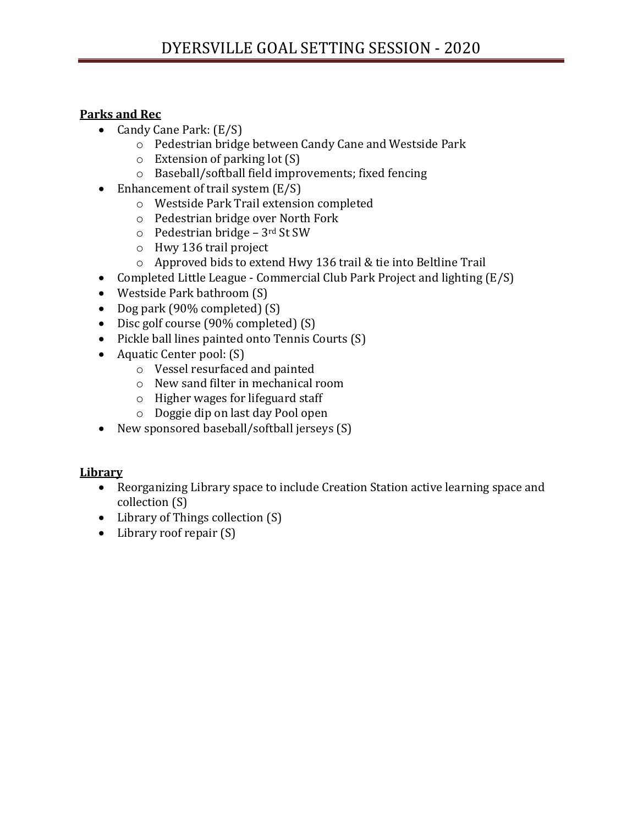#### **Parks and Rec**

- Candy Cane Park:  $(E/S)$ 
	- o Pedestrian bridge between Candy Cane and Westside Park
	- o Extension of parking lot (S)
	- o Baseball/softball field improvements; fixed fencing
- Enhancement of trail system (E/S)
	- o Westside Park Trail extension completed
	- o Pedestrian bridge over North Fork
	- $\circ$  Pedestrian bridge 3rd St SW
	- o Hwy 136 trail project
	- o Approved bids to extend Hwy 136 trail & tie into Beltline Trail
- Completed Little League Commercial Club Park Project and lighting (E/S)
- Westside Park bathroom (S)
- Dog park (90% completed) (S)
- Disc golf course (90% completed) (S)
- Pickle ball lines painted onto Tennis Courts (S)
- Aquatic Center pool: (S)
	- o Vessel resurfaced and painted
	- o New sand filter in mechanical room
	- o Higher wages for lifeguard staff
	- o Doggie dip on last day Pool open
- New sponsored baseball/softball jerseys (S)

### **Library**

- Reorganizing Library space to include Creation Station active learning space and collection (S)
- Library of Things collection (S)
- Library roof repair (S)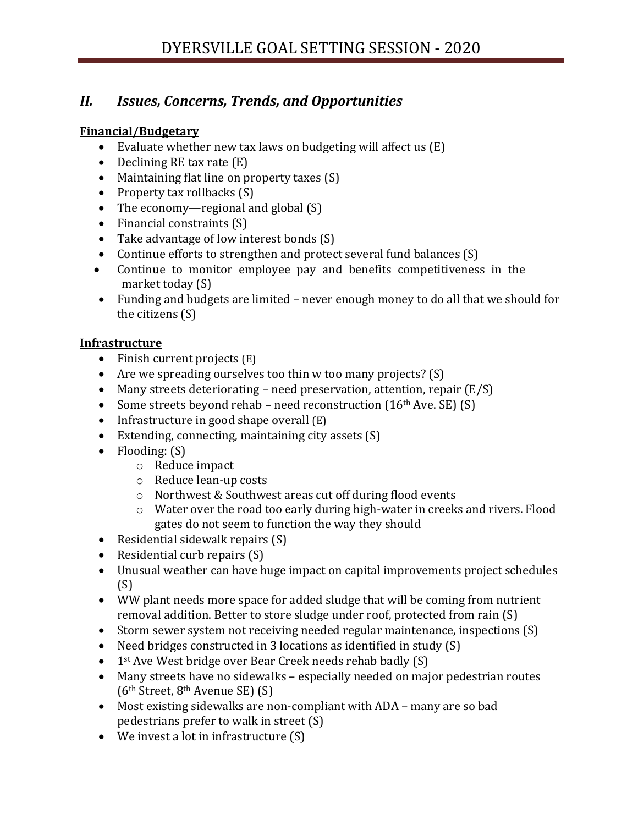### *II. Issues, Concerns, Trends, and Opportunities*

#### **Financial/Budgetary**

- Evaluate whether new tax laws on budgeting will affect us (E)
- Declining RE tax rate (E)
- Maintaining flat line on property taxes (S)
- Property tax rollbacks (S)
- The economy—regional and global (S)
- Financial constraints (S)
- Take advantage of low interest bonds (S)
- Continue efforts to strengthen and protect several fund balances (S)
- Continue to monitor employee pay and benefits competitiveness in the market today (S)
- Funding and budgets are limited never enough money to do all that we should for the citizens (S)

#### **Infrastructure**

- Finish current projects (E)
- Are we spreading ourselves too thin w too many projects? (S)
- Many streets deteriorating need preservation, attention, repair (E/S)
- Some streets beyond rehab need reconstruction  $(16<sup>th</sup> Ave. SE)$   $(S)$
- Infrastructure in good shape overall (E)
- Extending, connecting, maintaining city assets (S)
- Flooding: (S)
	- o Reduce impact
	- o Reduce lean-up costs
	- o Northwest & Southwest areas cut off during flood events
	- o Water over the road too early during high-water in creeks and rivers. Flood gates do not seem to function the way they should
- Residential sidewalk repairs (S)
- Residential curb repairs (S)
- Unusual weather can have huge impact on capital improvements project schedules  $(S)$
- WW plant needs more space for added sludge that will be coming from nutrient removal addition. Better to store sludge under roof, protected from rain (S)
- Storm sewer system not receiving needed regular maintenance, inspections (S)
- Need bridges constructed in 3 locations as identified in study (S)
- 1<sup>st</sup> Ave West bridge over Bear Creek needs rehab badly (S)
- Many streets have no sidewalks especially needed on major pedestrian routes ( $6<sup>th</sup> Street, 8<sup>th</sup> Avenue SE$ ) (S)
- Most existing sidewalks are non-compliant with ADA many are so bad pedestrians prefer to walk in street (S)
- We invest a lot in infrastructure (S)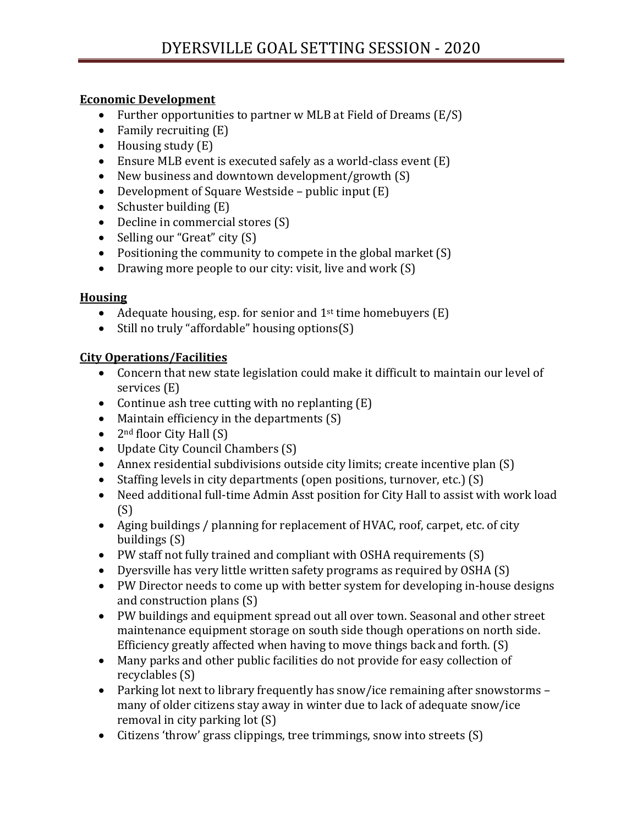#### **Economic Development**

- Further opportunities to partner w MLB at Field of Dreams (E/S)
- Family recruiting  $(E)$
- Housing study (E)
- Ensure MLB event is executed safely as a world-class event (E)
- New business and downtown development/growth (S)
- Development of Square Westside public input (E)
- Schuster building (E)
- Decline in commercial stores (S)
- Selling our "Great" city (S)
- Positioning the community to compete in the global market (S)
- Drawing more people to our city: visit, live and work (S)

### **Housing**

- Adequate housing, esp. for senior and  $1<sup>st</sup>$  time homebuyers  $(E)$
- Still no truly "affordable" housing options(S)

### **City Operations/Facilities**

- Concern that new state legislation could make it difficult to maintain our level of services (E)
- Continue ash tree cutting with no replanting  $(E)$
- Maintain efficiency in the departments (S)
- $2<sup>nd</sup>$  floor City Hall  $(S)$
- Update City Council Chambers (S)
- Annex residential subdivisions outside city limits; create incentive plan (S)
- Staffing levels in city departments (open positions, turnover, etc.) (S)
- Need additional full-time Admin Asst position for City Hall to assist with work load (S)
- Aging buildings / planning for replacement of HVAC, roof, carpet, etc. of city buildings (S)
- PW staff not fully trained and compliant with OSHA requirements (S)
- Dyersville has very little written safety programs as required by OSHA (S)
- PW Director needs to come up with better system for developing in-house designs and construction plans (S)
- PW buildings and equipment spread out all over town. Seasonal and other street maintenance equipment storage on south side though operations on north side. Efficiency greatly affected when having to move things back and forth. (S)
- Many parks and other public facilities do not provide for easy collection of recyclables (S)
- Parking lot next to library frequently has snow/ice remaining after snowstorms many of older citizens stay away in winter due to lack of adequate snow/ice removal in city parking lot (S)
- Citizens 'throw' grass clippings, tree trimmings, snow into streets (S)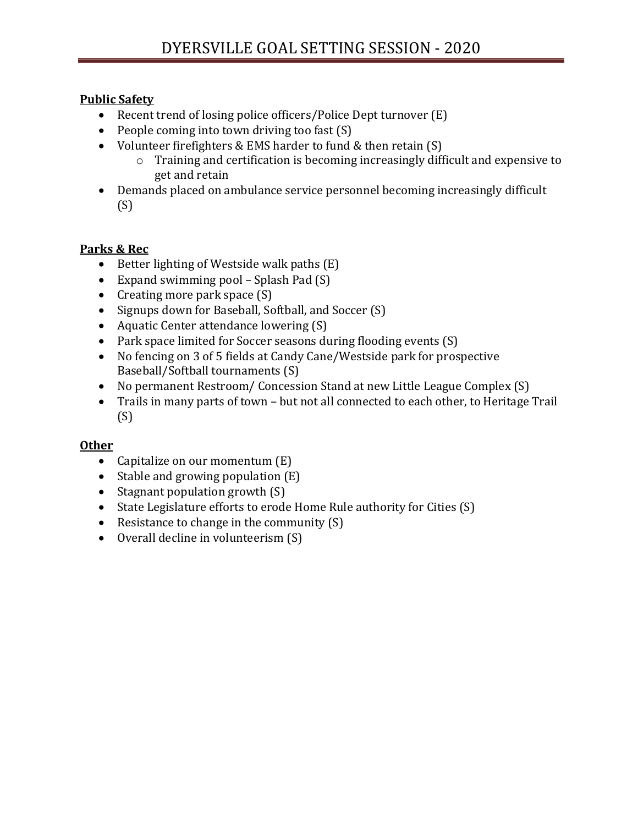#### **Public Safety**

- Recent trend of losing police officers/Police Dept turnover (E)
- People coming into town driving too fast (S)
- Volunteer firefighters & EMS harder to fund & then retain (S)
	- o Training and certification is becoming increasingly difficult and expensive to get and retain
- Demands placed on ambulance service personnel becoming increasingly difficult (S)

### **Parks & Rec**

- Better lighting of Westside walk paths (E)
- Expand swimming pool Splash Pad (S)
- Creating more park space (S)
- Signups down for Baseball, Softball, and Soccer (S)
- Aquatic Center attendance lowering (S)
- Park space limited for Soccer seasons during flooding events (S)
- No fencing on 3 of 5 fields at Candy Cane/Westside park for prospective Baseball/Softball tournaments (S)
- No permanent Restroom/Concession Stand at new Little League Complex (S)
- Trails in many parts of town but not all connected to each other, to Heritage Trail (S)

### **Other**

- Capitalize on our momentum  $(E)$
- Stable and growing population  $(E)$
- Stagnant population growth (S)
- State Legislature efforts to erode Home Rule authority for Cities (S)
- Resistance to change in the community (S)
- Overall decline in volunteerism (S)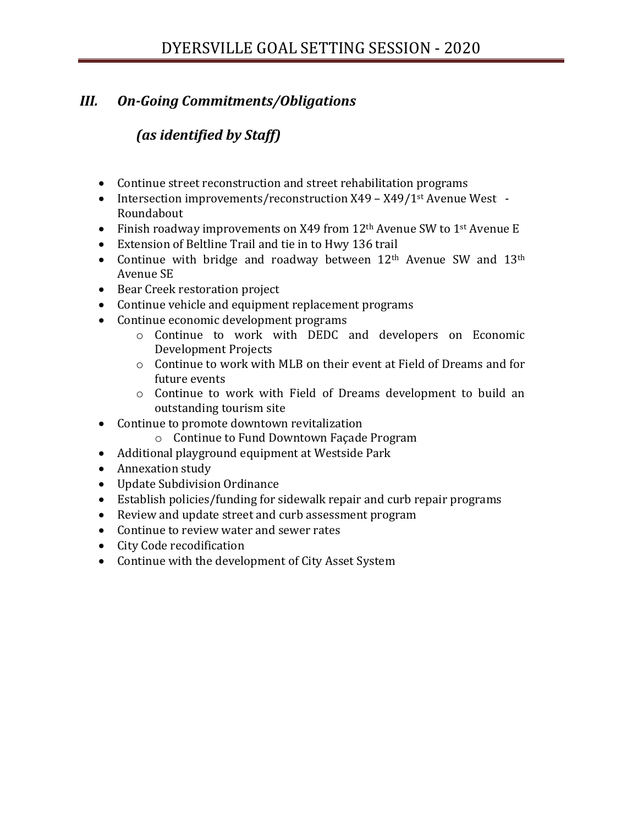### *III. On-Going Commitments/Obligations*

### *(as identified by Staff)*

- Continue street reconstruction and street rehabilitation programs
- Intersection improvements/reconstruction X49 X49/1<sup>st</sup> Avenue West -Roundabout
- Finish roadway improvements on X49 from 12<sup>th</sup> Avenue SW to 1<sup>st</sup> Avenue E
- Extension of Beltline Trail and tie in to Hwy 136 trail
- Continue with bridge and roadway between  $12<sup>th</sup>$  Avenue SW and  $13<sup>th</sup>$ Avenue SE
- Bear Creek restoration project
- Continue vehicle and equipment replacement programs
- Continue economic development programs
	- o Continue to work with DEDC and developers on Economic Development Projects
	- o Continue to work with MLB on their event at Field of Dreams and for future events
	- o Continue to work with Field of Dreams development to build an outstanding tourism site
- Continue to promote downtown revitalization
	- o Continue to Fund Downtown Façade Program
- Additional playground equipment at Westside Park
- Annexation study
- Update Subdivision Ordinance
- Establish policies/funding for sidewalk repair and curb repair programs
- Review and update street and curb assessment program
- Continue to review water and sewer rates
- City Code recodification
- Continue with the development of City Asset System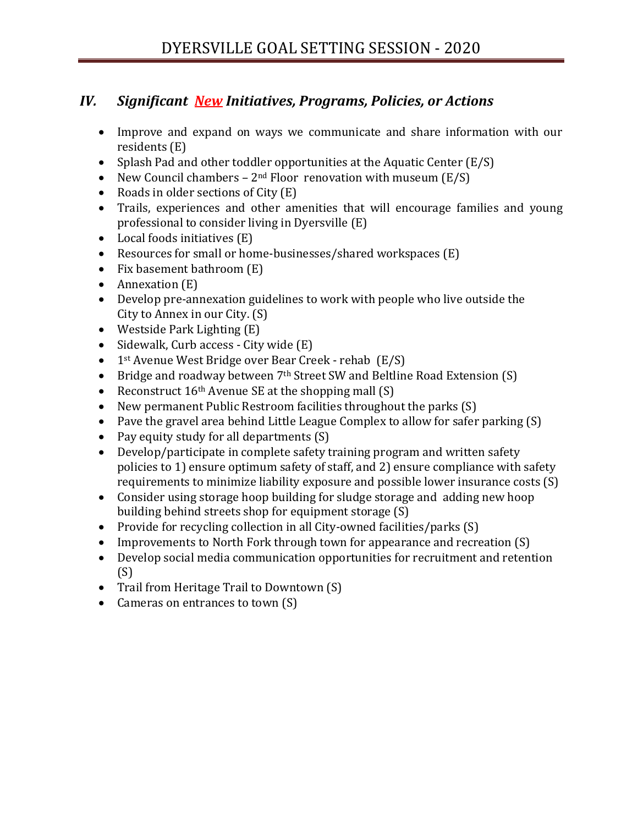### *IV. Significant New Initiatives, Programs, Policies, or Actions*

- Improve and expand on ways we communicate and share information with our residents (E)
- Splash Pad and other toddler opportunities at the Aquatic Center (E/S)
- New Council chambers  $2<sup>nd</sup>$  Floor renovation with museum  $(E/S)$
- Roads in older sections of City (E)
- Trails, experiences and other amenities that will encourage families and young professional to consider living in Dyersville (E)
- Local foods initiatives (E)
- Resources for small or home-businesses/shared workspaces (E)
- Fix basement bathroom (E)
- Annexation (E)
- Develop pre-annexation guidelines to work with people who live outside the City to Annex in our City. (S)
- Westside Park Lighting (E)
- Sidewalk, Curb access City wide (E)
- 1<sup>st</sup> Avenue West Bridge over Bear Creek rehab (E/S)
- Bridge and roadway between 7<sup>th</sup> Street SW and Beltline Road Extension (S)
- Reconstruct  $16<sup>th</sup>$  Avenue SE at the shopping mall (S)
- New permanent Public Restroom facilities throughout the parks (S)
- Pave the gravel area behind Little League Complex to allow for safer parking (S)
- Pay equity study for all departments (S)
- Develop/participate in complete safety training program and written safety policies to 1) ensure optimum safety of staff, and 2) ensure compliance with safety requirements to minimize liability exposure and possible lower insurance costs (S)
- Consider using storage hoop building for sludge storage and adding new hoop building behind streets shop for equipment storage (S)
- Provide for recycling collection in all City-owned facilities/parks (S)
- Improvements to North Fork through town for appearance and recreation (S)
- Develop social media communication opportunities for recruitment and retention (S)
- Trail from Heritage Trail to Downtown (S)
- Cameras on entrances to town (S)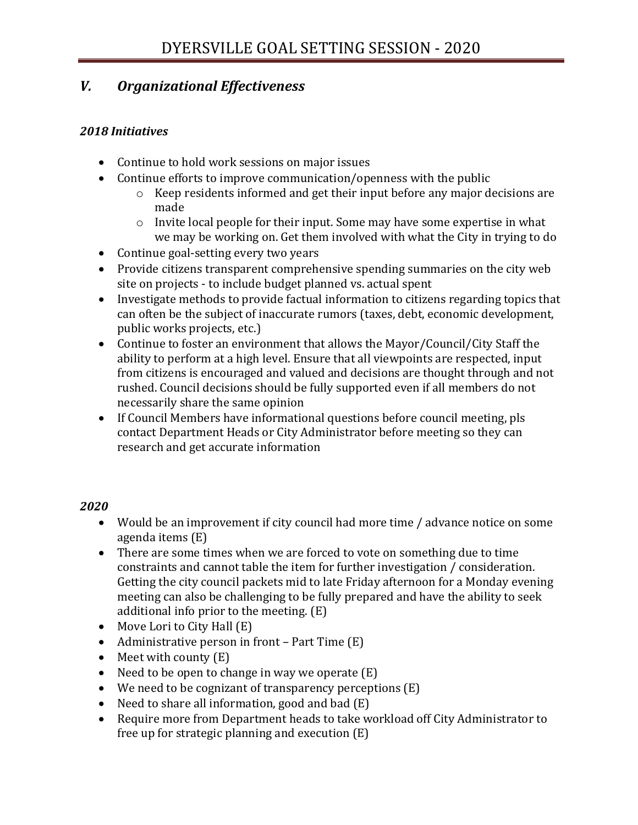### *V. Organizational Effectiveness*

#### *2018 Initiatives*

- Continue to hold work sessions on major issues
- Continue efforts to improve communication/openness with the public
	- o Keep residents informed and get their input before any major decisions are made
	- o Invite local people for their input. Some may have some expertise in what we may be working on. Get them involved with what the City in trying to do
- Continue goal-setting every two years
- Provide citizens transparent comprehensive spending summaries on the city web site on projects - to include budget planned vs. actual spent
- Investigate methods to provide factual information to citizens regarding topics that can often be the subject of inaccurate rumors (taxes, debt, economic development, public works projects, etc.)
- Continue to foster an environment that allows the Mayor/Council/City Staff the ability to perform at a high level. Ensure that all viewpoints are respected, input from citizens is encouraged and valued and decisions are thought through and not rushed. Council decisions should be fully supported even if all members do not necessarily share the same opinion
- If Council Members have informational questions before council meeting, pls contact Department Heads or City Administrator before meeting so they can research and get accurate information

### *2020*

- Would be an improvement if city council had more time / advance notice on some agenda items (E)
- There are some times when we are forced to vote on something due to time constraints and cannot table the item for further investigation / consideration. Getting the city council packets mid to late Friday afternoon for a Monday evening meeting can also be challenging to be fully prepared and have the ability to seek additional info prior to the meeting. (E)
- Move Lori to City Hall (E)
- Administrative person in front Part Time (E)
- Meet with county  $(E)$
- Need to be open to change in way we operate  $(E)$
- We need to be cognizant of transparency perceptions (E)
- Need to share all information, good and bad (E)
- Require more from Department heads to take workload off City Administrator to free up for strategic planning and execution (E)